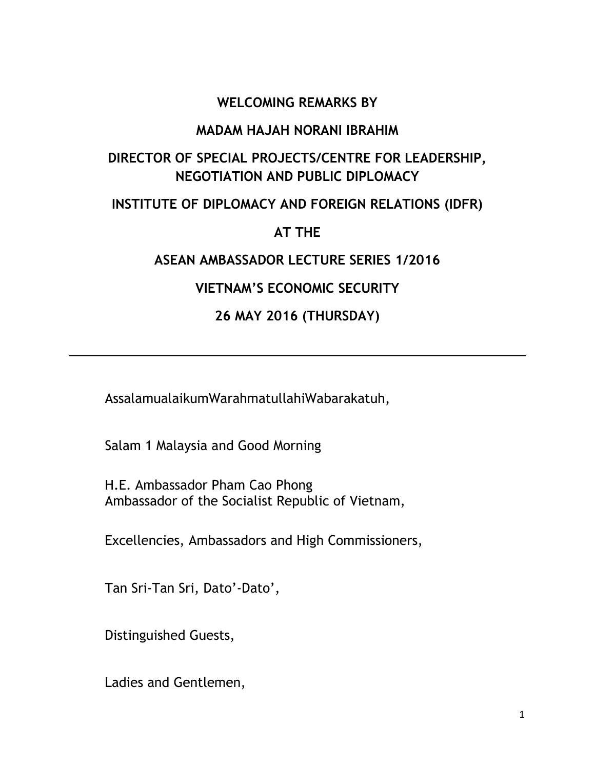### **WELCOMING REMARKS BY**

#### **MADAM HAJAH NORANI IBRAHIM**

# **DIRECTOR OF SPECIAL PROJECTS/CENTRE FOR LEADERSHIP, NEGOTIATION AND PUBLIC DIPLOMACY**

### **INSTITUTE OF DIPLOMACY AND FOREIGN RELATIONS (IDFR)**

## **AT THE**

## **ASEAN AMBASSADOR LECTURE SERIES 1/2016**

# **VIETNAM'S ECONOMIC SECURITY**

# **26 MAY 2016 (THURSDAY)**

AssalamualaikumWarahmatullahiWabarakatuh,

Salam 1 Malaysia and Good Morning

H.E. Ambassador Pham Cao Phong Ambassador of the Socialist Republic of Vietnam,

Excellencies, Ambassadors and High Commissioners,

Tan Sri-Tan Sri, Dato'-Dato',

Distinguished Guests,

Ladies and Gentlemen,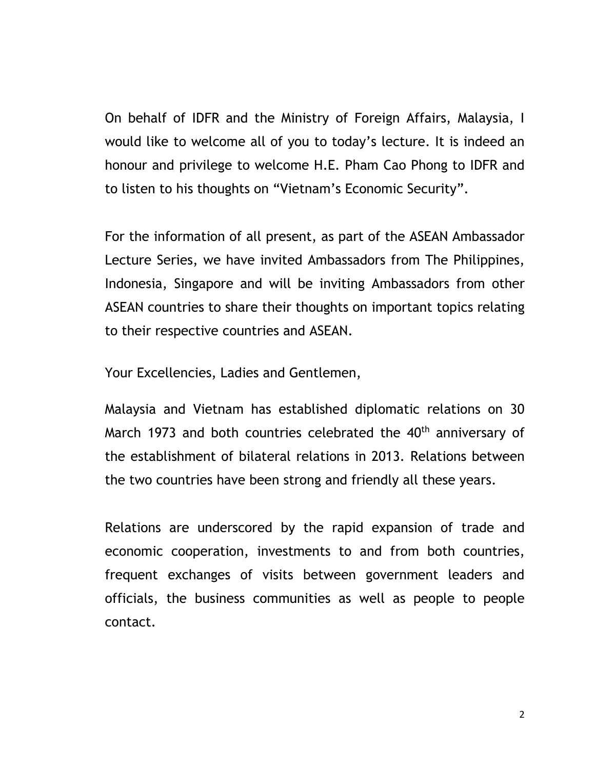On behalf of IDFR and the Ministry of Foreign Affairs, Malaysia, I would like to welcome all of you to today's lecture. It is indeed an honour and privilege to welcome H.E. Pham Cao Phong to IDFR and to listen to his thoughts on "Vietnam's Economic Security".

For the information of all present, as part of the ASEAN Ambassador Lecture Series, we have invited Ambassadors from The Philippines, Indonesia, Singapore and will be inviting Ambassadors from other ASEAN countries to share their thoughts on important topics relating to their respective countries and ASEAN.

Your Excellencies, Ladies and Gentlemen,

Malaysia and Vietnam has established diplomatic relations on 30 March 1973 and both countries celebrated the 40<sup>th</sup> anniversary of the establishment of bilateral relations in 2013. Relations between the two countries have been strong and friendly all these years.

Relations are underscored by the rapid expansion of trade and economic cooperation, investments to and from both countries, frequent exchanges of visits between government leaders and officials, the business communities as well as people to people contact.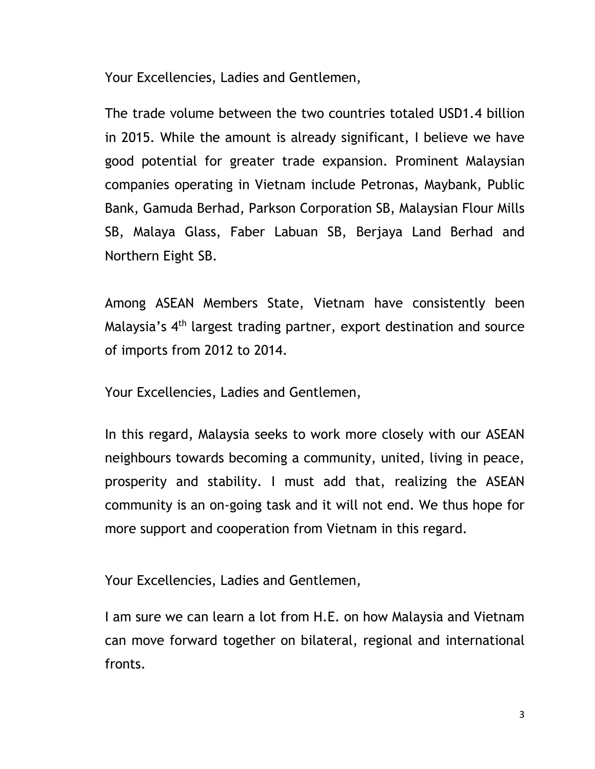Your Excellencies, Ladies and Gentlemen,

The trade volume between the two countries totaled USD1.4 billion in 2015. While the amount is already significant, I believe we have good potential for greater trade expansion. Prominent Malaysian companies operating in Vietnam include Petronas, Maybank, Public Bank, Gamuda Berhad, Parkson Corporation SB, Malaysian Flour Mills SB, Malaya Glass, Faber Labuan SB, Berjaya Land Berhad and Northern Eight SB.

Among ASEAN Members State, Vietnam have consistently been Malaysia's 4th largest trading partner, export destination and source of imports from 2012 to 2014.

Your Excellencies, Ladies and Gentlemen,

In this regard, Malaysia seeks to work more closely with our ASEAN neighbours towards becoming a community, united, living in peace, prosperity and stability. I must add that, realizing the ASEAN community is an on-going task and it will not end. We thus hope for more support and cooperation from Vietnam in this regard.

Your Excellencies, Ladies and Gentlemen,

I am sure we can learn a lot from H.E. on how Malaysia and Vietnam can move forward together on bilateral, regional and international fronts.